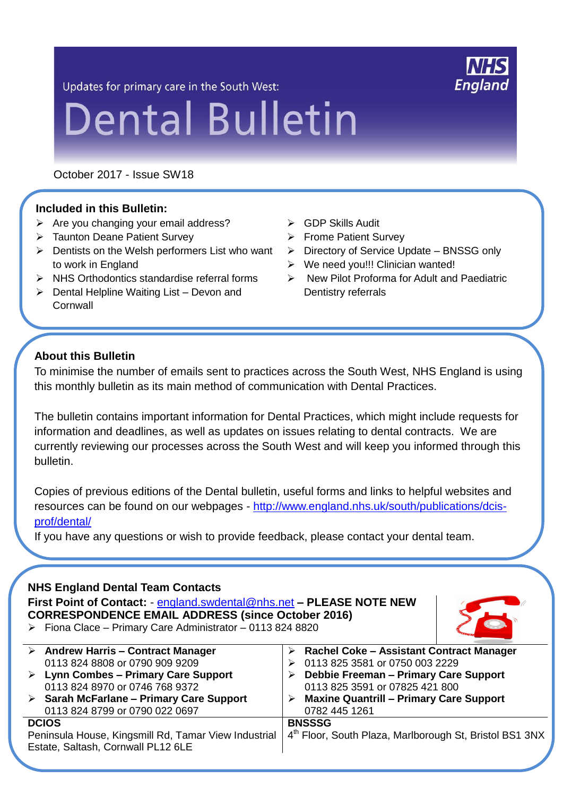Updates for primary care in the South West:

# **Dental Bulletin**

October 2017 - Issue SW18

## **Included in this Bulletin:**

- $\triangleright$  Are you changing your email address?
- > Taunton Deane Patient Survey
- $\triangleright$  Dentists on the Welsh performers List who want to work in England
- $\triangleright$  NHS Orthodontics standardise referral forms
- $\triangleright$  Dental Helpline Waiting List Devon and **Cornwall**
- GDP Skills Audit
- **▶ Frome Patient Survey**
- $\triangleright$  Directory of Service Update BNSSG only
- $\triangleright$  We need vou!!! Clinician wanted!
- $\triangleright$  New Pilot Proforma for Adult and Paediatric Dentistry referrals

## **About this Bulletin**

To minimise the number of emails sent to practices across the South West, NHS England is using this monthly bulletin as its main method of communication with Dental Practices.

The bulletin contains important information for Dental Practices, which might include requests for information and deadlines, as well as updates on issues relating to dental contracts. We are currently reviewing our processes across the South West and will keep you informed through this bulletin.

Copies of previous editions of the Dental bulletin, useful forms and links to helpful websites and resources can be found on our webpages - [http://www.england.nhs.uk/south/publications/dcis](http://www.england.nhs.uk/south/publications/dcis-prof/dental/)[prof/dental/](http://www.england.nhs.uk/south/publications/dcis-prof/dental/)

If you have any questions or wish to provide feedback, please contact your dental team.

## **NHS England Dental Team Contacts**

**First Point of Contact:** - [england.swdental@nhs.net](mailto:england.swdental@nhs.net) **– PLEASE NOTE NEW CORRESPONDENCE EMAIL ADDRESS (since October 2016)**  $\triangleright$  Fiona Clace – Primary Care Administrator – 0113 824 8820



|                                                                                            | $\triangleright$ Andrew Harris - Contract Manager       |   | Rachel Coke - Assistant Contract Manager                |
|--------------------------------------------------------------------------------------------|---------------------------------------------------------|---|---------------------------------------------------------|
|                                                                                            | 0113 824 8808 or 0790 909 9209                          |   | 0113 825 3581 or 0750 003 2229                          |
|                                                                                            | $\triangleright$ Lynn Combes - Primary Care Support     |   | <b>Debbie Freeman - Primary Care Support</b>            |
|                                                                                            | 0113 824 8970 or 0746 768 9372                          |   | 0113 825 3591 or 07825 421 800                          |
|                                                                                            | $\triangleright$ Sarah McFarlane – Primary Care Support | ➤ | <b>Maxine Quantrill - Primary Care Support</b>          |
|                                                                                            | 0113 824 8799 or 0790 022 0697                          |   | 0782 445 1261                                           |
| <b>DCIOS</b>                                                                               |                                                         |   | <b>BNSSSG</b>                                           |
| Peninsula House, Kingsmill Rd, Tamar View Industrial<br>Estate, Saltash, Cornwall PL12 6LE |                                                         |   | 4th Floor, South Plaza, Marlborough St, Bristol BS1 3NX |

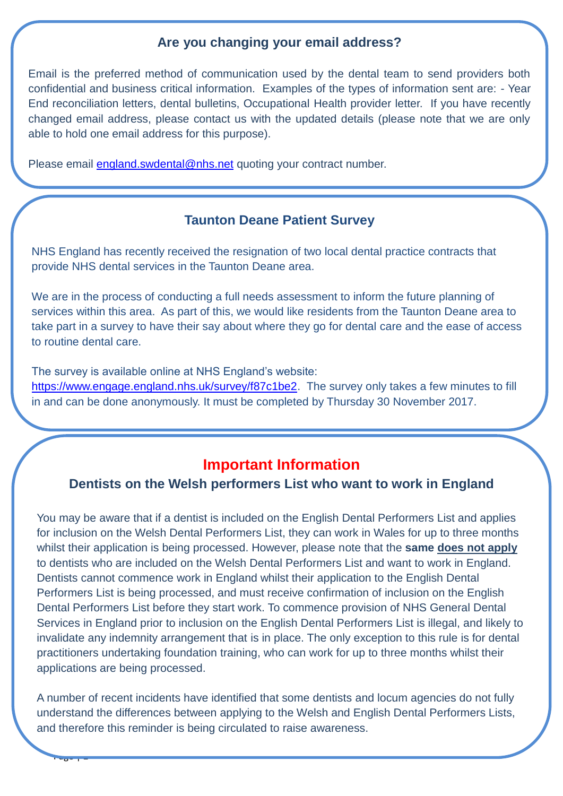## **Are you changing your email address?**

Email is the preferred method of communication used by the dental team to send providers both confidential and business critical information. Examples of the types of information sent are: - Year End reconciliation letters, dental bulletins, Occupational Health provider letter. If you have recently changed email address, please contact us with the updated details (please note that we are only able to hold one email address for this purpose).

Please email [england.swdental@nhs.net](mailto:england.swdental@nhs.net) quoting your contract number.

### **Taunton Deane Patient Survey**

NHS England has recently received the resignation of two local dental practice contracts that provide NHS dental services in the Taunton Deane area.

We are in the process of conducting a full needs assessment to inform the future planning of services within this area. As part of this, we would like residents from the Taunton Deane area to take part in a survey to have their say about where they go for dental care and the ease of access to routine dental care.

The survey is available online at NHS England's website:

 $-1 - 204$ 

[https://www.engage.england.nhs.uk/survey/f87c1be2.](https://www.engage.england.nhs.uk/survey/f87c1be2) The survey only takes a few minutes to fill in and can be done anonymously. It must be completed by Thursday 30 November 2017.

# **Important Information**

#### **Dentists on the Welsh performers List who want to work in England**

You may be aware that if a dentist is included on the English Dental Performers List and applies for inclusion on the Welsh Dental Performers List, they can work in Wales for up to three months whilst their application is being processed. However, please note that the **same does not apply** to dentists who are included on the Welsh Dental Performers List and want to work in England. Dentists cannot commence work in England whilst their application to the English Dental Performers List is being processed, and must receive confirmation of inclusion on the English Dental Performers List before they start work. To commence provision of NHS General Dental Services in England prior to inclusion on the English Dental Performers List is illegal, and likely to invalidate any indemnity arrangement that is in place. The only exception to this rule is for dental practitioners undertaking foundation training, who can work for up to three months whilst their applications are being processed.

A number of recent incidents have identified that some dentists and locum agencies do not fully understand the differences between applying to the Welsh and English Dental Performers Lists, and therefore this reminder is being circulated to raise awareness.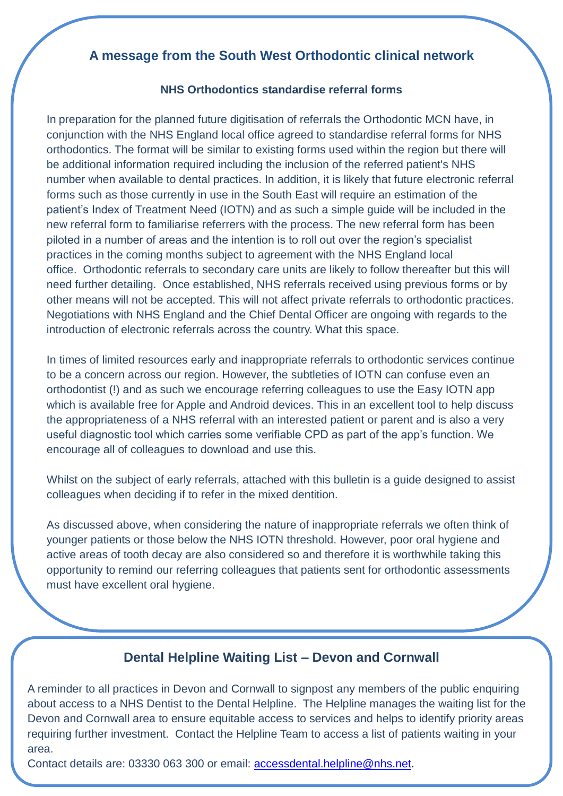## **A message from the South West Orthodontic clinical network**

#### **NHS Orthodontics standardise referral forms**

In preparation for the planned future digitisation of referrals the Orthodontic MCN have, in conjunction with the NHS England local office agreed to standardise referral forms for NHS orthodontics. The format will be similar to existing forms used within the region but there will be additional information required including the inclusion of the referred patient's NHS number when available to dental practices. In addition, it is likely that future electronic referral forms such as those currently in use in the South East will require an estimation of the patient's Index of Treatment Need (IOTN) and as such a simple guide will be included in the new referral form to familiarise referrers with the process. The new referral form has been piloted in a number of areas and the intention is to roll out over the region's specialist practices in the coming months subject to agreement with the NHS England local office. Orthodontic referrals to secondary care units are likely to follow thereafter but this will need further detailing. Once established, NHS referrals received using previous forms or by other means will not be accepted. This will not affect private referrals to orthodontic practices. Negotiations with NHS England and the Chief Dental Officer are ongoing with regards to the introduction of electronic referrals across the country. What this space.

In times of limited resources early and inappropriate referrals to orthodontic services continue to be a concern across our region. However, the subtleties of IOTN can confuse even an orthodontist (!) and as such we encourage referring colleagues to use the Easy IOTN app which is available free for Apple and Android devices. This in an excellent tool to help discuss the appropriateness of a NHS referral with an interested patient or parent and is also a very useful diagnostic tool which carries some verifiable CPD as part of the app's function. We encourage all of colleagues to download and use this.

Whilst on the subject of early referrals, attached with this bulletin is a guide designed to assist colleagues when deciding if to refer in the mixed dentition.

As discussed above, when considering the nature of inappropriate referrals we often think of younger patients or those below the NHS IOTN threshold. However, poor oral hygiene and active areas of tooth decay are also considered so and therefore it is worthwhile taking this opportunity to remind our referring colleagues that patients sent for orthodontic assessments must have excellent oral hygiene.

## **Dental Helpline Waiting List – Devon and Cornwall**

A reminder to all practices in Devon and Cornwall to signpost any members of the public enquiring about access to a NHS Dentist to the Dental Helpline. The Helpline manages the waiting list for the Devon and Cornwall area to ensure equitable access to services and helps to identify priority areas requiring further investment. Contact the Helpline Team to access a list of patients waiting in your area.

area.<br>Contact details are: 03330 063 300 or email: <u>accessdental.helpline@nhs.net</u>.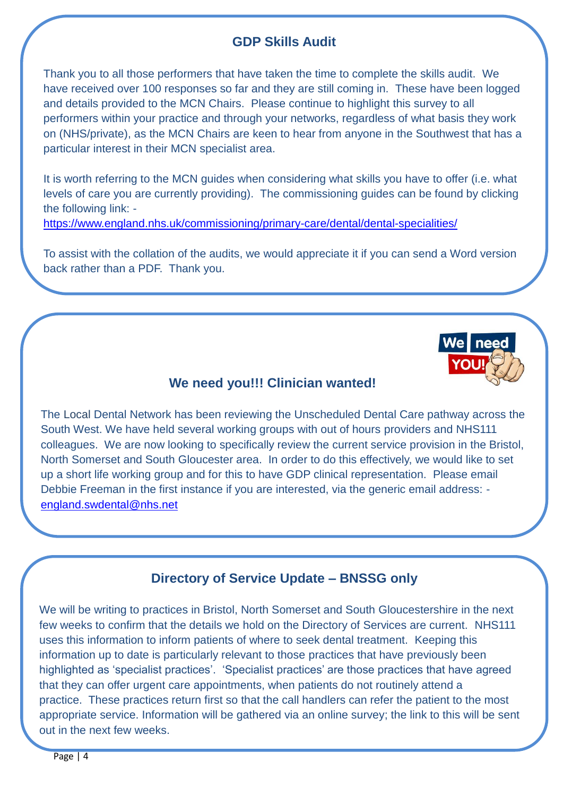# **GDP Skills Audit**

Thank you to all those performers that have taken the time to complete the skills audit. We have received over 100 responses so far and they are still coming in. These have been logged and details provided to the MCN Chairs. Please continue to highlight this survey to all performers within your practice and through your networks, regardless of what basis they work on (NHS/private), as the MCN Chairs are keen to hear from anyone in the Southwest that has a particular interest in their MCN specialist area.

It is worth referring to the MCN guides when considering what skills you have to offer (i.e. what levels of care you are currently providing). The commissioning guides can be found by clicking the following link: -

<https://www.england.nhs.uk/commissioning/primary-care/dental/dental-specialities/>

To assist with the collation of the audits, we would appreciate it if you can send a Word version back rather than a PDF. Thank you.



## **We need you!!! Clinician wanted!**

The Local Dental Network has been reviewing the Unscheduled Dental Care pathway across the South West. We have held several working groups with out of hours providers and NHS111 colleagues. We are now looking to specifically review the current service provision in the Bristol, North Somerset and South Gloucester area. In order to do this effectively, we would like to set up a short life working group and for this to have GDP clinical representation. Please email Debbie Freeman in the first instance if you are interested, via the generic email address: [england.swdental@nhs.net](mailto:england.swdental@nhs.net)

## **Directory of Service Update – BNSSG only**

We will be writing to practices in Bristol, North Somerset and South Gloucestershire in the next few weeks to confirm that the details we hold on the Directory of Services are current. NHS111 uses this information to inform patients of where to seek dental treatment. Keeping this information up to date is particularly relevant to those practices that have previously been highlighted as 'specialist practices'. 'Specialist practices' are those practices that have agreed that they can offer urgent care appointments, when patients do not routinely attend a practice. These practices return first so that the call handlers can refer the patient to the most appropriate service. Information will be gathered via an online survey; the link to this will be sent out in the next few weeks.